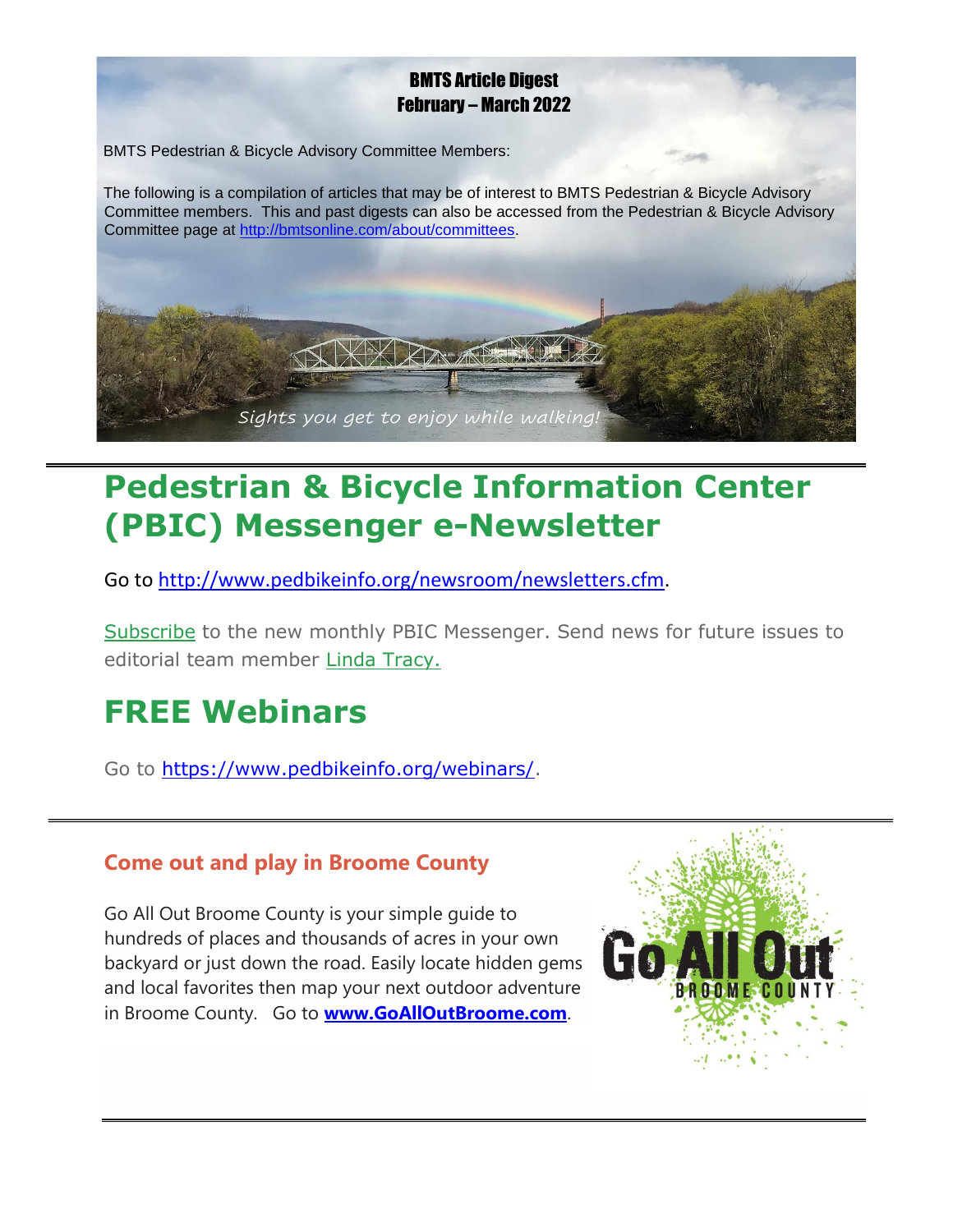#### BMTS Article Digest February – March 2022

BMTS Pedestrian & Bicycle Advisory Committee Members:

The following is a compilation of articles that may be of interest to BMTS Pedestrian & Bicycle Advisory Committee members. This and past digests can also be accessed from the Pedestrian & Bicycle Advisory Committee page at [http://bmtsonline.com/about/committees.](http://bmtsonline.com/about/committees)



## **Pedestrian & Bicycle Information Center (PBIC) Messenger e-Newsletter**

Go to [http://www.pedbikeinfo.org/newsroom/newsletters.cfm.](http://www.pedbikeinfo.org/newsroom/newsletters.cfm)

[Subscribe](http://www.pedbikeinfo.org/newsroom/signup.cfm) to the new monthly PBIC Messenger. Send news for future issues to editorial team member [Linda Tracy.](mailto:Linda@PBICMessenger.org)

## **FREE Webinars**

Go to [https://www.pedbikeinfo.org/webinars/.](https://www.pedbikeinfo.org/webinars/)

#### **Come out and play in Broome County**

Go All Out Broome County is your simple guide to hundreds of places and thousands of acres in your own backyard or just down the road. Easily locate hidden gems and local favorites then map your next outdoor adventure in Broome County. Go to **[www.GoAllOutBroome.com](http://www.goalloutbroome.com/)**.

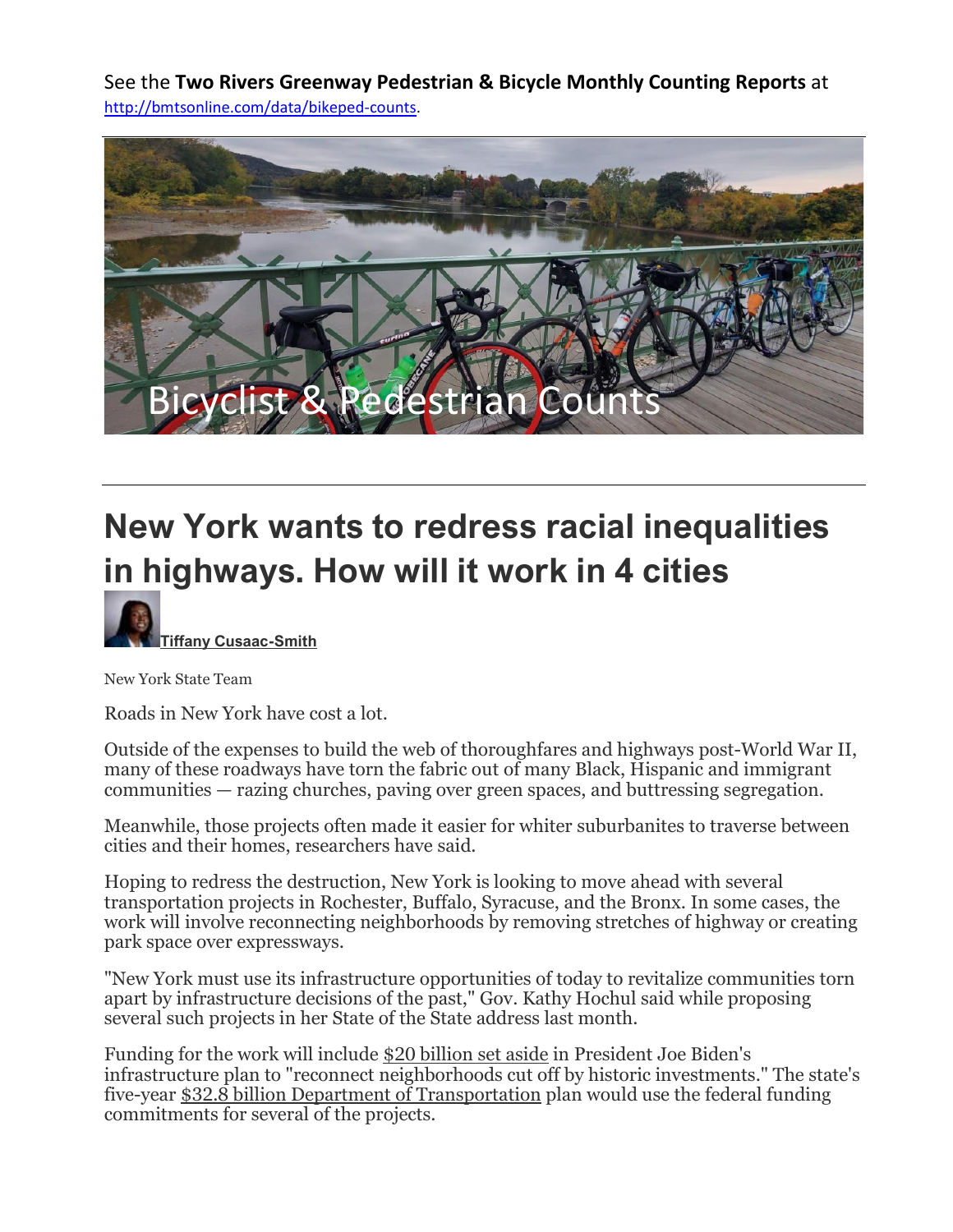See the **Two Rivers Greenway Pedestrian & Bicycle Monthly Counting Reports** at [http://bmtsonline.com/data/bikeped-counts.](http://bmtsonline.com/data/bikeped-counts)



# **New York wants to redress racial inequalities in highways. How will it work in 4 cities**



New York State Team

Roads in New York have cost a lot.

Outside of the expenses to build the web of thoroughfares and highways post-World War II, many of these roadways have torn the fabric out of many Black, Hispanic and immigrant communities — razing churches, paving over green spaces, and buttressing segregation.

Meanwhile, those projects often made it easier for whiter suburbanites to traverse between cities and their homes, researchers have said.

Hoping to redress the destruction, New York is looking to move ahead with several transportation projects in Rochester, Buffalo, Syracuse, and the Bronx. In some cases, the work will involve reconnecting neighborhoods by removing stretches of highway or creating park space over expressways.

"New York must use its infrastructure opportunities of today to revitalize communities torn apart by infrastructure decisions of the past," Gov. Kathy Hochul said while proposing several such projects in her State of the State address last month.

Funding for the work will include [\\$20 billion set aside](https://www.whitehouse.gov/briefing-room/statements-releases/2021/03/31/fact-sheet-the-american-jobs-plan/) in President Joe Biden's infrastructure plan to "reconnect neighborhoods cut off by historic investments." The state's five-year \$32.8 billion [Department of Transportation](https://www.budget.ny.gov/pubs/archive/fy23/ex/book/briefingbook.pdf) plan would use the federal funding commitments for several of the projects.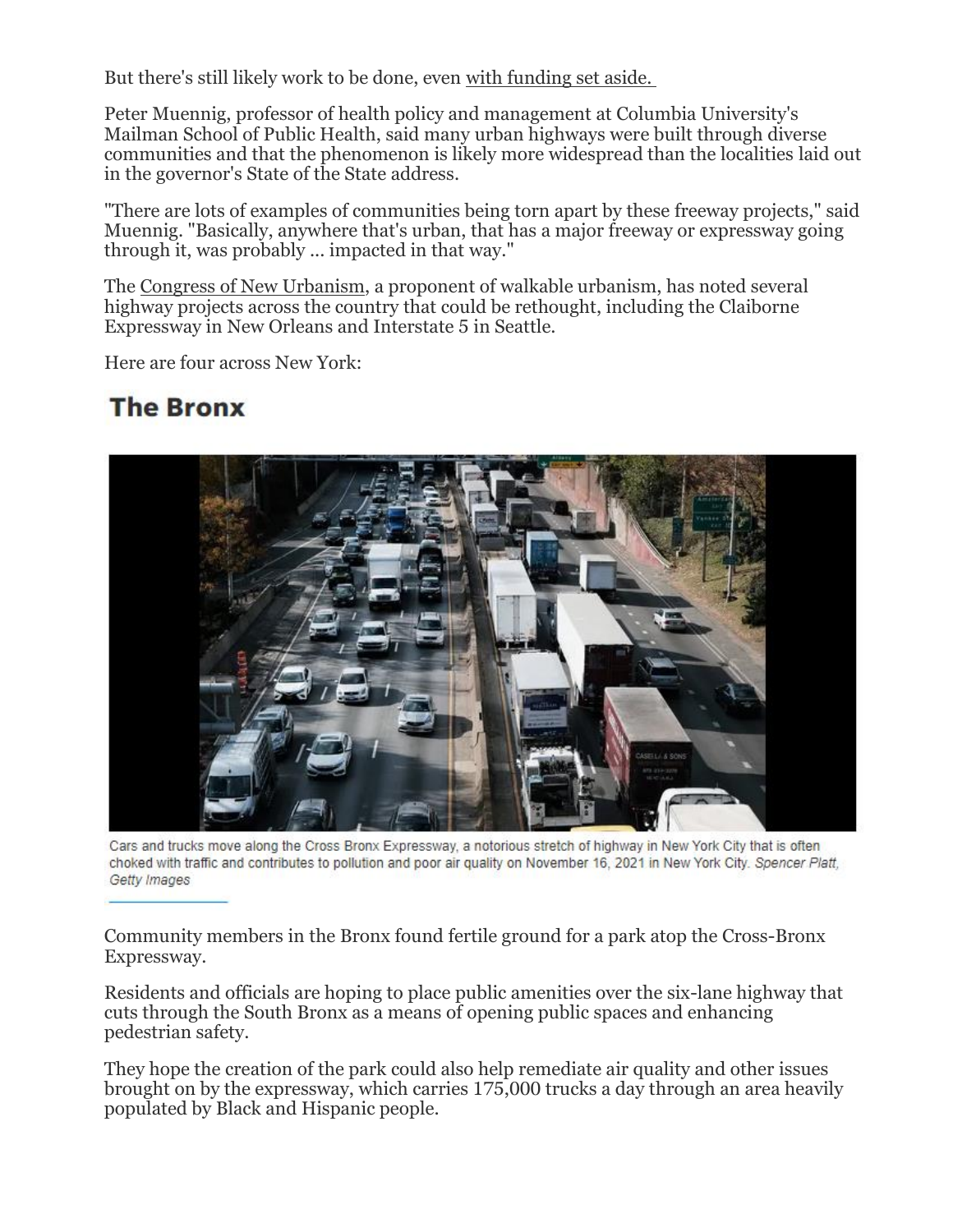But there's still likely work to be done, even with [funding set aside.](https://www.instagram.com/segregation_by_design/?hl=en)

Peter Muennig, professor of health policy and management at Columbia University's Mailman School of Public Health, said many urban highways were built through diverse communities and that the phenomenon is likely more widespread than the localities laid out in the governor's State of the State address.

"There are lots of examples of communities being torn apart by these freeway projects," said Muennig. "Basically, anywhere that's urban, that has a major freeway or expressway going through it, was probably ... impacted in that way."

The [Congress of New Urbanism,](https://www.cnu.org/highways-boulevards/freeways-without-futures/2021#345) a proponent of walkable urbanism, has noted several highway projects across the country that could be rethought, including the Claiborne Expressway in New Orleans and Interstate 5 in Seattle.

Here are four across New York:

### **The Bronx**



Cars and trucks move along the Cross Bronx Expressway, a notorious stretch of highway in New York City that is often choked with traffic and contributes to pollution and poor air quality on November 16, 2021 in New York City. Spencer Platt, Getty Images

Community members in the Bronx found fertile ground for a park atop the Cross-Bronx Expressway.

Residents and officials are hoping to place public amenities over the six-lane highway that cuts through the South Bronx as a means of opening public spaces and enhancing pedestrian safety.

They hope the creation of the park could also help remediate air quality and other issues brought on by the expressway, which carries 175,000 trucks a day through an area heavily populated by Black and Hispanic people.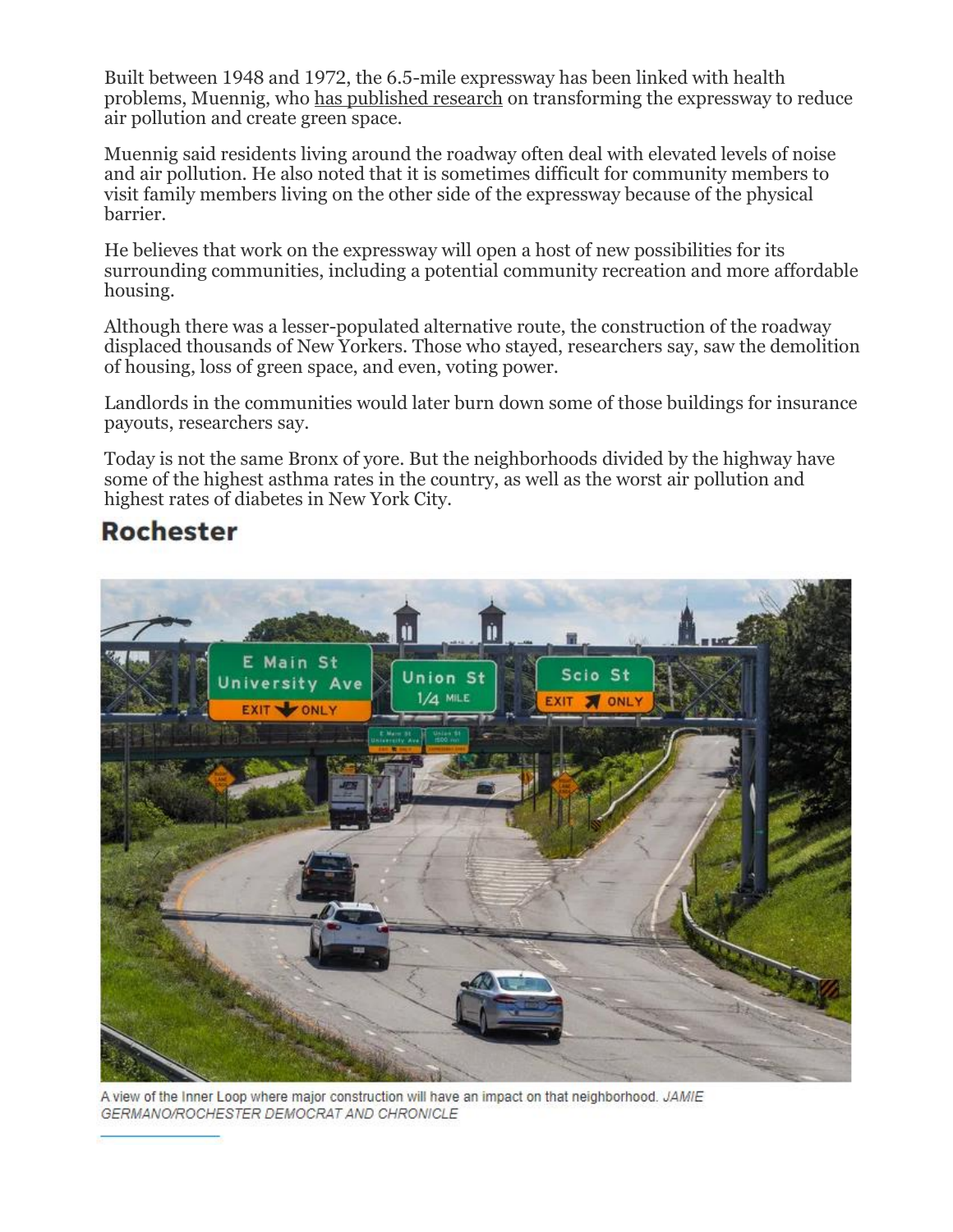Built between 1948 and 1972, the 6.5-mile expressway has been linked with health problems, Muennig, who [has published research](https://www.publichealth.columbia.edu/public-health-now/news/plan-transform-cross-bronx-expressway-gains-momentum) on transforming the expressway to reduce air pollution and create green space.

Muennig said residents living around the roadway often deal with elevated levels of noise and air pollution. He also noted that it is sometimes difficult for community members to visit family members living on the other side of the expressway because of the physical barrier.

He believes that work on the expressway will open a host of new possibilities for its surrounding communities, including a potential community recreation and more affordable housing.

Although there was a lesser-populated alternative route, the construction of the roadway displaced thousands of New Yorkers. Those who stayed, researchers say, saw the demolition of housing, loss of green space, and even, voting power.

Landlords in the communities would later burn down some of those buildings for insurance payouts, researchers say.

Today is not the same Bronx of yore. But the neighborhoods divided by the highway have some of the highest asthma rates in the country, as well as the worst air pollution and highest rates of diabetes in New York City.

#### **Rochester**



A view of the Inner Loop where major construction will have an impact on that neighborhood. JAMIE GERMANO/ROCHESTER DEMOCRAT AND CHRONICLE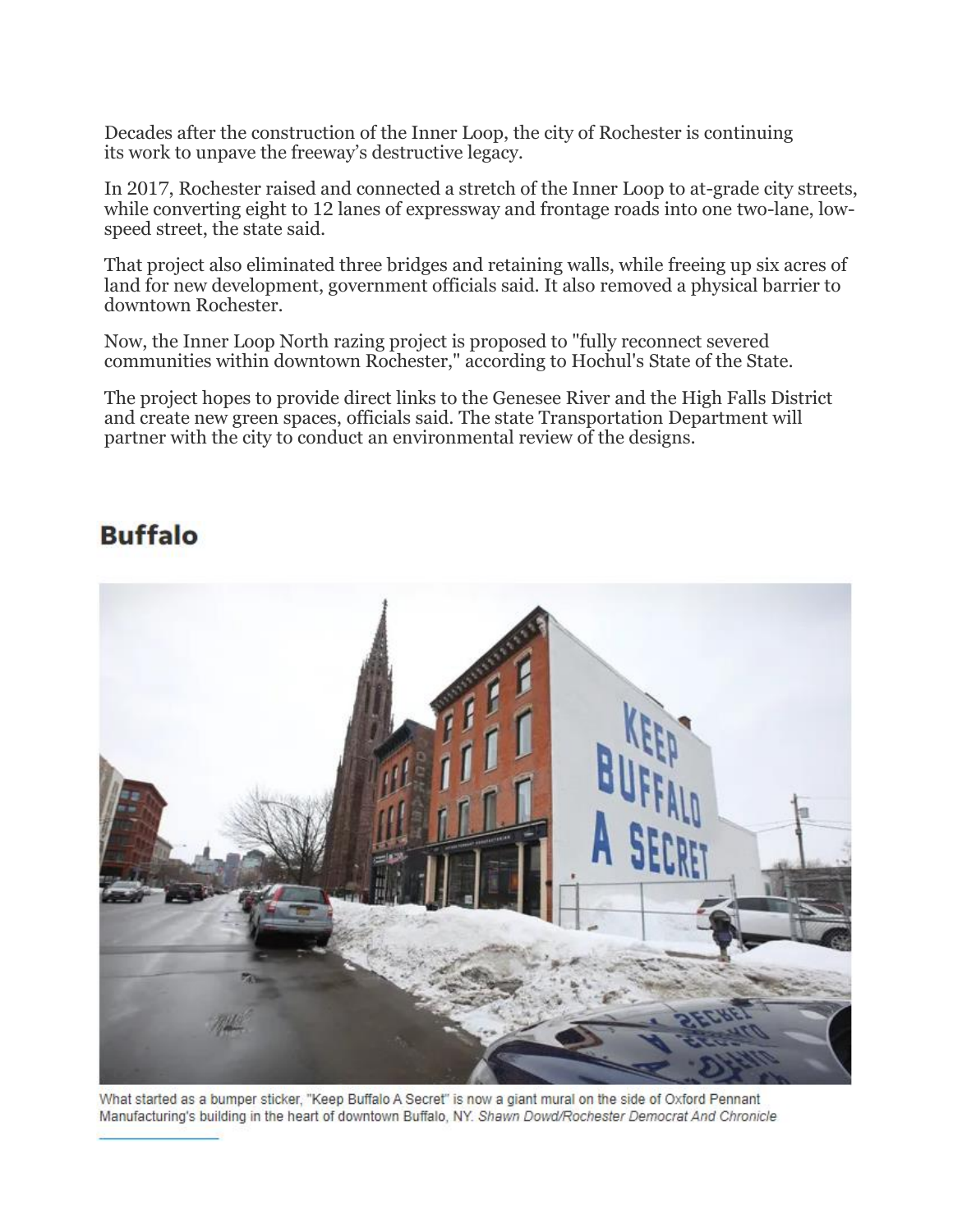Decades after the construction of the Inner Loop, the city of Rochester is continuing its work to unpave the freeway's destructive legacy.

In 2017, Rochester raised and connected a stretch of the Inner Loop to at-grade city streets, while converting eight to 12 lanes of expressway and frontage roads into one two-lane, lowspeed street, the state said.

That project also eliminated three bridges and retaining walls, while freeing up six acres of land for new development, government officials said. It also removed a physical barrier to downtown Rochester.

Now, the Inner Loop North razing project is proposed to "fully reconnect severed communities within downtown Rochester," according to Hochul's State of the State.

The project hopes to provide direct links to the Genesee River and the High Falls District and create new green spaces, officials said. The state Transportation Department will partner with the city to conduct an environmental review of the designs.

### **Buffalo**



What started as a bumper sticker, "Keep Buffalo A Secret" is now a giant mural on the side of Oxford Pennant Manufacturing's building in the heart of downtown Buffalo, NY. Shawn Dowd/Rochester Democrat And Chronicle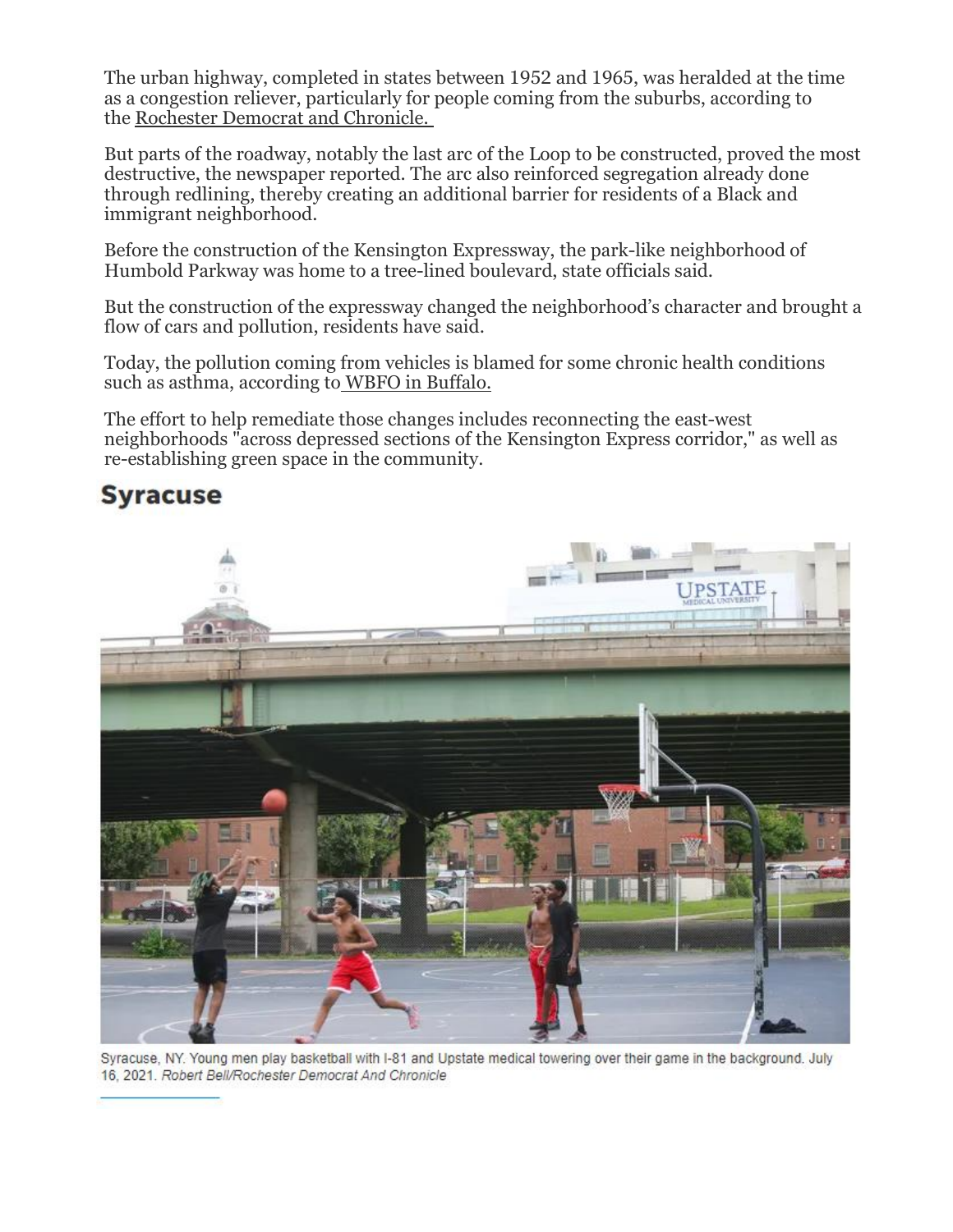The urban highway, completed in states between 1952 and 1965, was heralded at the time as a congestion reliever, particularly for people coming from the suburbs, according to the [Rochester Democrat and Chronicle.](https://www.pressconnects.com/story/news/2021/10/13/inner-loop-rochester-ny-impact-on-neighborhoods/8137874002/)

But parts of the roadway, notably the last arc of the Loop to be constructed, proved the most destructive, the newspaper reported. The arc also reinforced segregation already done through redlining, thereby creating an additional barrier for residents of a Black and immigrant neighborhood.

Before the construction of the Kensington Expressway, the park-like neighborhood of Humbold Parkway was home to a tree-lined boulevard, state officials said.

But the construction of the expressway changed the neighborhood's character and brought a flow of cars and pollution, residents have said.

Today, the pollution coming from vehicles is blamed for some chronic health conditions such as asthma, according to [WBFO in Buffalo.](https://www.wbfo.org/health-wellness/2022-01-06/would-reconnecting-buffalos-humboldt-parkway-be-the-right-tonic-for-improving-neighborhood-health)

The effort to help remediate those changes includes reconnecting the east-west neighborhoods "across depressed sections of the Kensington Express corridor," as well as re-establishing green space in the community.

#### **Syracuse**



Syracuse, NY. Young men play basketball with I-81 and Upstate medical towering over their game in the background. July 16. 2021. Robert Bell/Rochester Democrat And Chronicle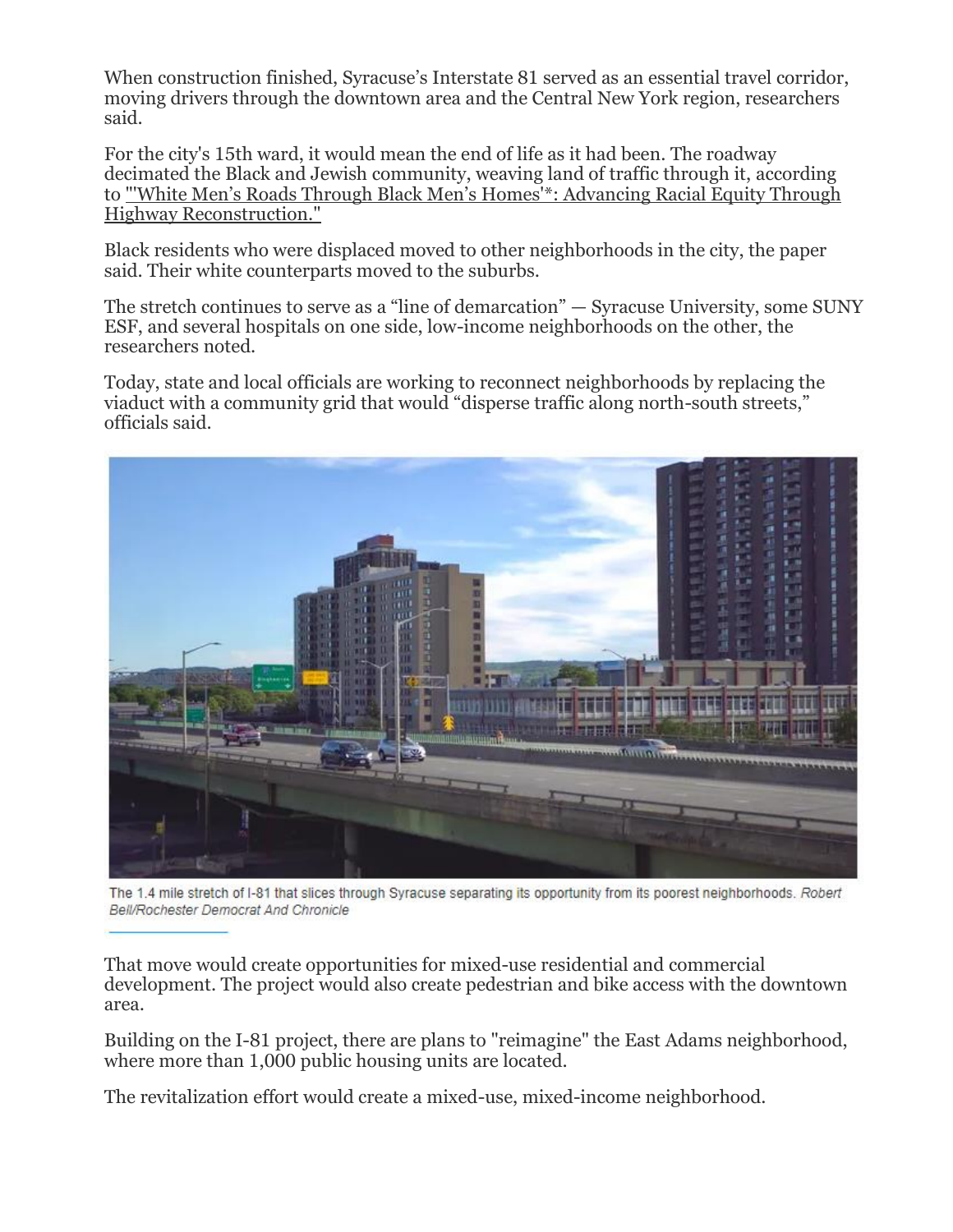When construction finished, Syracuse's Interstate 81 served as an essential travel corridor, moving drivers through the downtown area and the Central New York region, researchers said.

For the city's 15th ward, it would mean the end of life as it had been. The roadway decimated the Black and Jewish community, weaving land of traffic through it, according to ["'White Men's Roads Through Black Men's Homes'\\*: Advancing Racial Equity Through](https://cdn.vanderbilt.edu/vu-wp0/wp-content/uploads/sites/278/2020/10/19130728/White-Mens-Roads-Through-Black-Mens-Homes-Advancing-Racial-Equity-Through-Highway-Reconstruction.pdf)  [Highway Reconstruction."](https://cdn.vanderbilt.edu/vu-wp0/wp-content/uploads/sites/278/2020/10/19130728/White-Mens-Roads-Through-Black-Mens-Homes-Advancing-Racial-Equity-Through-Highway-Reconstruction.pdf)

Black residents who were displaced moved to other neighborhoods in the city, the paper said. Their white counterparts moved to the suburbs.

The stretch continues to serve as a "line of demarcation" — Syracuse University, some SUNY ESF, and several hospitals on one side, low-income neighborhoods on the other, the researchers noted.

Today, state and local officials are working to reconnect neighborhoods by replacing the viaduct with a community grid that would "disperse traffic along north-south streets," officials said.



The 1.4 mile stretch of I-81 that slices through Syracuse separating its opportunity from its poorest neighborhoods. Robert Bell/Rochester Democrat And Chronicle

That move would create opportunities for mixed-use residential and commercial development. The project would also create pedestrian and bike access with the downtown area.

Building on the I-81 project, there are plans to "reimagine" the East Adams neighborhood, where more than 1,000 public housing units are located.

The revitalization effort would create a mixed-use, mixed-income neighborhood.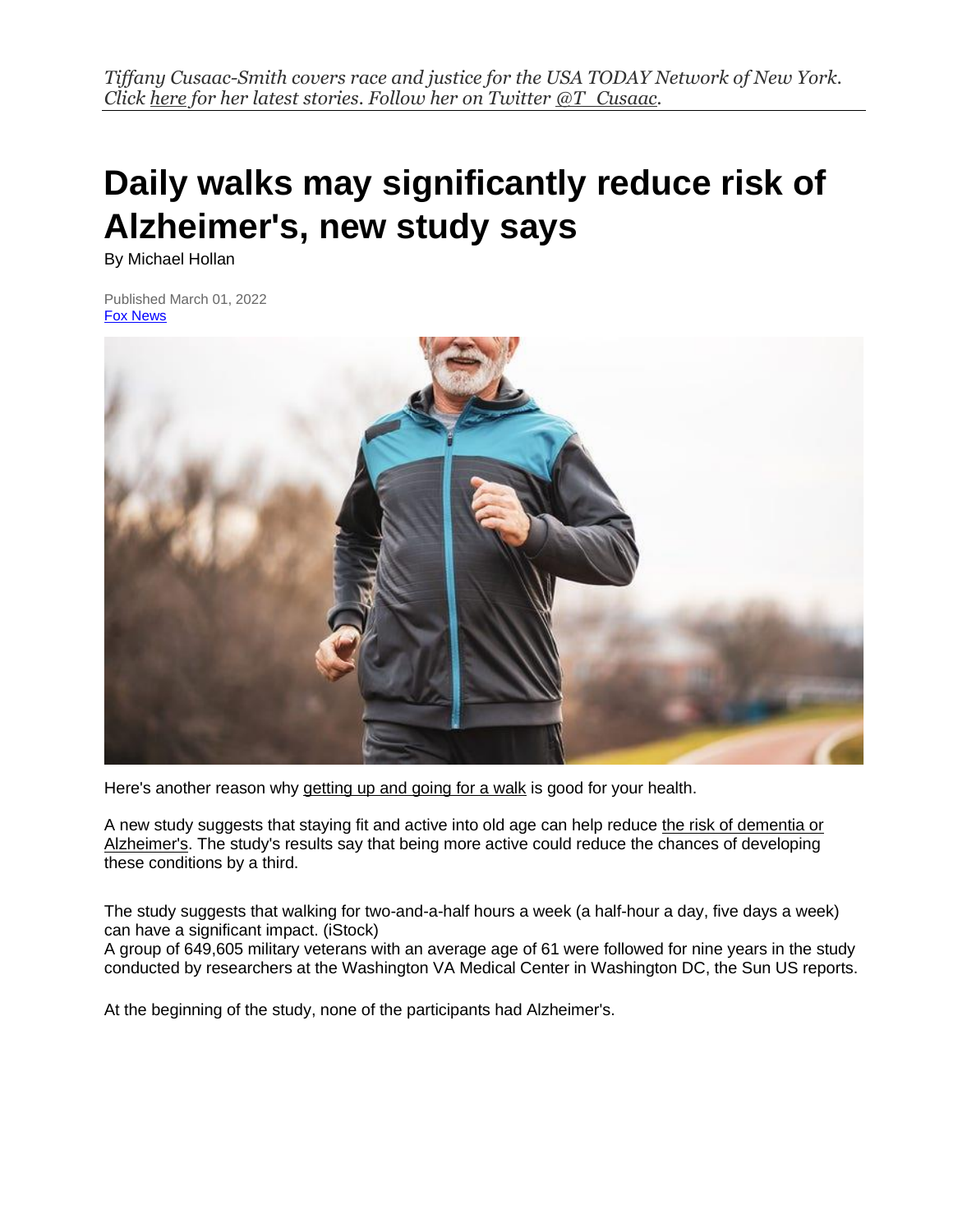# **Daily walks may significantly reduce risk of Alzheimer's, new study says**

By Michael Hollan

Published March 01, 2022 [Fox News](https://www.foxnews.com/)



Here's another reason why [getting up and going for a walk](https://www.foxnews.com/category/fitness-and-wellbeing) is good for your health.

A new study suggests that staying fit and active into old age can help reduce [the risk of dementia or](https://www.foxnews.com/health)  [Alzheimer's.](https://www.foxnews.com/health) The study's results say that being more active could reduce the chances of developing these conditions by a third.

The study suggests that walking for two-and-a-half hours a week (a half-hour a day, five days a week) can have a significant impact. (iStock)

A group of 649,605 military veterans with an average age of 61 were followed for nine years in the study conducted by researchers at the Washington VA Medical Center in Washington DC, the Sun US reports.

At the beginning of the study, none of the participants had Alzheimer's.